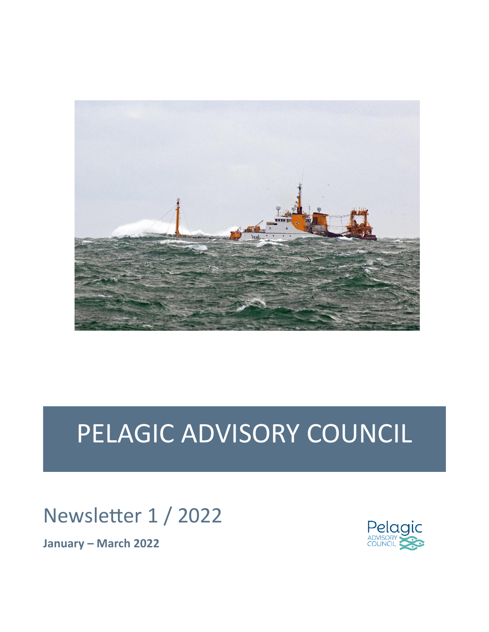

# PELAGIC ADVISORY COUNCIL

# Newsletter 1 / 2022

**January – March 2022**

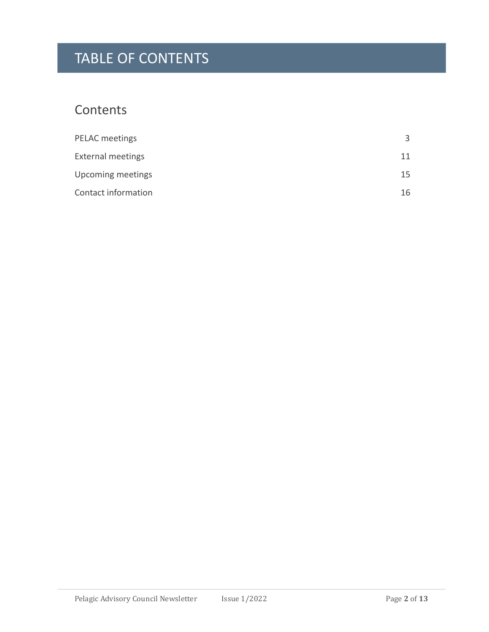## TABLE OF CONTENTS

### **Contents**

| PELAC meetings           |     |
|--------------------------|-----|
| <b>External meetings</b> |     |
| Upcoming meetings        | 15. |
| Contact information      | 16  |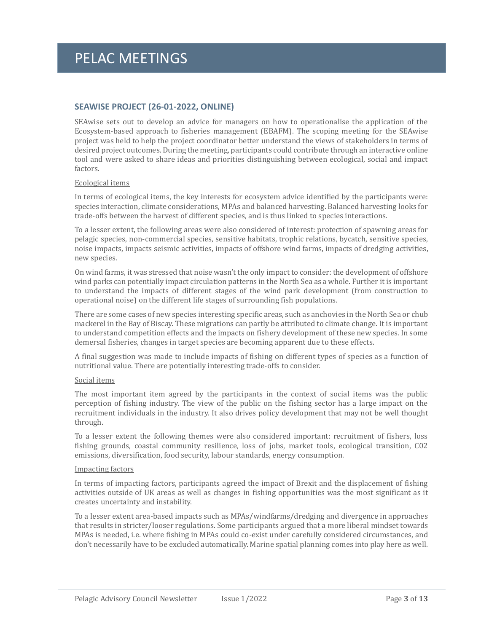### **SEAWISE PROJECT (26-01-2022, ONLINE)**

SEAwise sets out to develop an advice for managers on how to operationalise the application of the Ecosystem-based approach to fisheries management (EBAFM). The scoping meeting for the SEAwise project was held to help the project coordinator better understand the views of stakeholders in terms of desired project outcomes. During the meeting, participants could contribute through an interactive online tool and were asked to share ideas and priorities distinguishing between ecological, social and impact factors.

#### Ecological items

In terms of ecological items, the key interests for ecosystem advice identified by the participants were: species interaction, climate considerations, MPAs and balanced harvesting. Balanced harvesting looks for trade-offs between the harvest of different species, and is thus linked to species interactions.

To a lesser extent, the following areas were also considered of interest: protection of spawning areas for pelagic species, non-commercial species, sensitive habitats, trophic relations, bycatch, sensitive species, noise impacts, impacts seismic activities, impacts of offshore wind farms, impacts of dredging activities, new species.

On wind farms, it was stressed that noise wasn't the only impact to consider: the development of offshore wind parks can potentially impact circulation patterns in the North Sea as a whole. Further it is important to understand the impacts of different stages of the wind park development (from construction to operational noise) on the different life stages of surrounding fish populations.

There are some cases of new species interesting specific areas, such as anchovies in the North Sea or chub mackerel in the Bay of Biscay. These migrations can partly be attributed to climate change. It is important to understand competition effects and the impacts on fishery development of these new species. In some demersal fisheries, changes in target species are becoming apparent due to these effects.

A final suggestion was made to include impacts of fishing on different types of species as a function of nutritional value. There are potentially interesting trade-offs to consider.

#### Social items

The most important item agreed by the participants in the context of social items was the public perception of fishing industry. The view of the public on the fishing sector has a large impact on the recruitment individuals in the industry. It also drives policy development that may not be well thought through.

To a lesser extent the following themes were also considered important: recruitment of fishers, loss fishing grounds, coastal community resilience, loss of jobs, market tools, ecological transition, C02 emissions, diversification, food security, labour standards, energy consumption.

#### Impacting factors

In terms of impacting factors, participants agreed the impact of Brexit and the displacement of fishing activities outside of UK areas as well as changes in fishing opportunities was the most significant as it creates uncertainty and instability.

To a lesser extent area-based impacts such as MPAs/windfarms/dredging and divergence in approaches that results in stricter/looser regulations. Some participants argued that a more liberal mindset towards MPAs is needed, i.e. where fishing in MPAs could co-exist under carefully considered circumstances, and don't necessarily have to be excluded automatically. Marine spatial planning comes into play here as well.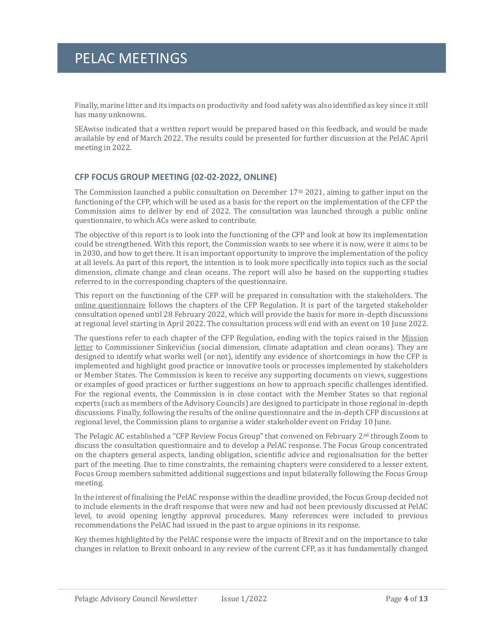Finally, marine litter and its impacts on productivity and food safety was also identified as key since it still has many unknowns.

SEAwise indicated that a written report would be prepared based on this feedback, and would be made available by end of March 2022. The results could be presented for further discussion at the PelAC April meeting in 2022.

### **CFP FOCUS GROUP MEETING (02-02-2022, ONLINE)**

The Commission launched a public consultation on December 17th 2021, aiming to gather input on the functioning of the CFP, which will be used as a basis for the report on the implementation of the CFP the Commission aims to deliver by end of 2022. The consultation was launched through a public online questionnaire, to which ACs were asked to contribute.

The objective of this report is to look into the functioning of the CFP and look at how its implementation could be strengthened. With this report, the Commission wants to see where it is now, were it aims to be in 2030, and how to get there. It is an important opportunity to improve the implementation of the policy at all levels. As part of this report, the intention is to look more specifically into topics such as the social dimension, climate change and clean oceans. The report will also be based on the supporting studies referred to in the corresponding chapters of the questionnaire.

This report on the functioning of the CFP will be prepared in consultation with the stakeholders. The [online questionnaire](https://ec.europa.eu/eusurvey/runner/TargetedConsultation2022ReportCFP) follows the chapters of the CFP Regulation. It is part of the targeted stakeholder consultation opened until 28 February 2022, which will provide the basis for more in-depth discussions at regional level starting in April 2022. The consultation process will end with an event on 10 June 2022.

The questions refer to each chapter of the CFP Regulation, ending with the topics raised in the [Mission](https://www.google.com/url?sa=t&rct=j&q=&esrc=s&source=web&cd=&cad=rja&uact=8&ved=2ahUKEwiMp6_rqM_0AhVbgv0HHYW-AgsQFnoECAoQAQ&url=https%3A%2F%2Fec.europa.eu%2Fcommission%2Fcommissioners%2Fsites%2Fdefault%2Ffiles%2Fcommissioner_mission_letters%2Fmission-letter-sinkevicius-2019-2024_en.pdf&usg=AOvVaw1ap7scvJx-L_RQJn0K8MLa)  [letter](https://www.google.com/url?sa=t&rct=j&q=&esrc=s&source=web&cd=&cad=rja&uact=8&ved=2ahUKEwiMp6_rqM_0AhVbgv0HHYW-AgsQFnoECAoQAQ&url=https%3A%2F%2Fec.europa.eu%2Fcommission%2Fcommissioners%2Fsites%2Fdefault%2Ffiles%2Fcommissioner_mission_letters%2Fmission-letter-sinkevicius-2019-2024_en.pdf&usg=AOvVaw1ap7scvJx-L_RQJn0K8MLa) to Commissioner Sinkevičius (social dimension, climate adaptation and clean oceans). They are designed to identify what works well (or not), identify any evidence of shortcomings in how the CFP is implemented and highlight good practice or innovative tools or processes implemented by stakeholders or Member States. The Commission is keen to receive any supporting documents on views, suggestions or examples of good practices or further suggestions on how to approach specific challenges identified. For the regional events, the Commission is in close contact with the Member States so that regional experts (such as members of the Advisory Councils) are designed to participate in those regional in-depth discussions. Finally, following the results of the online questionnaire and the in-depth CFP discussions at regional level, the Commission plans to organise a wider stakeholder event on Friday 10 June.

The Pelagic AC established a "CFP Review Focus Group" that convened on February 2nd through Zoom to discuss the consultation questionnaire and to develop a PelAC response. The Focus Group concentrated on the chapters general aspects, landing obligation, scientific advice and regionalisation for the better part of the meeting. Due to time constraints, the remaining chapters were considered to a lesser extent. Focus Group members submitted additional suggestions and input bilaterally following the Focus Group meeting.

In the interest of finalising the PelAC response within the deadline provided, the Focus Group decided not to include elements in the draft response that were new and had not been previously discussed at PelAC level, to avoid opening lengthy approval procedures. Many references were included to previous recommendations the PelAC had issued in the past to argue opinions in its response.

Key themes highlighted by the PelAC response were the impacts of Brexit and on the importance to take changes in relation to Brexit onboard in any review of the current CFP, as it has fundamentally changed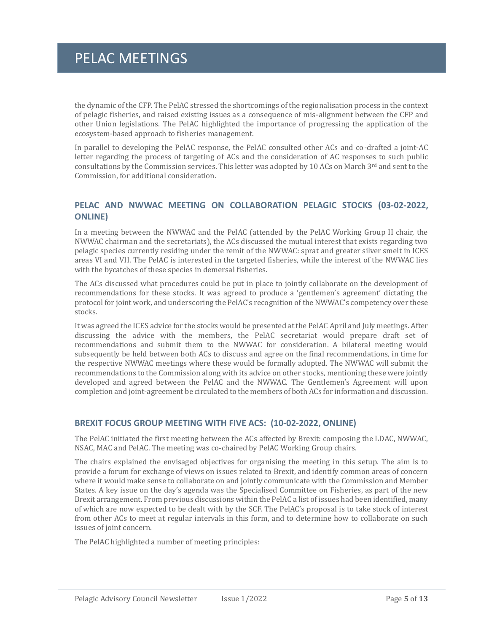the dynamic of the CFP. The PelAC stressed the shortcomings of the regionalisation process in the context of pelagic fisheries, and raised existing issues as a consequence of mis-alignment between the CFP and other Union legislations. The PelAC highlighted the importance of progressing the application of the ecosystem-based approach to fisheries management.

In parallel to developing the PelAC response, the PelAC consulted other ACs and co-drafted a joint-AC letter regarding the process of targeting of ACs and the consideration of AC responses to such public consultations by the Commission services. This letter was adopted by 10 ACs on March 3<sup>rd</sup> and sent to the Commission, for additional consideration.

### **PELAC AND NWWAC MEETING ON COLLABORATION PELAGIC STOCKS (03-02-2022, ONLINE)**

In a meeting between the NWWAC and the PelAC (attended by the PelAC Working Group II chair, the NWWAC chairman and the secretariats), the ACs discussed the mutual interest that exists regarding two pelagic species currently residing under the remit of the NWWAC: sprat and greater silver smelt in ICES areas VI and VII. The PelAC is interested in the targeted fisheries, while the interest of the NWWAC lies with the bycatches of these species in demersal fisheries.

The ACs discussed what procedures could be put in place to jointly collaborate on the development of recommendations for these stocks. It was agreed to produce a 'gentlemen's agreement' dictating the protocol for joint work, and underscoring the PelAC's recognition of the NWWAC's competency over these stocks.

It was agreed the ICES advice for the stocks would be presented at the PelAC April and July meetings. After discussing the advice with the members, the PelAC secretariat would prepare draft set of recommendations and submit them to the NWWAC for consideration. A bilateral meeting would subsequently be held between both ACs to discuss and agree on the final recommendations, in time for the respective NWWAC meetings where these would be formally adopted. The NWWAC will submit the recommendations to the Commission along with its advice on other stocks, mentioning these were jointly developed and agreed between the PelAC and the NWWAC. The Gentlemen's Agreement will upon completion and joint-agreement be circulated to the members of both ACs for information and discussion.

### **BREXIT FOCUS GROUP MEETING WITH FIVE ACS: (10-02-2022, ONLINE)**

The PelAC initiated the first meeting between the ACs affected by Brexit: composing the LDAC, NWWAC, NSAC, MAC and PelAC. The meeting was co-chaired by PelAC Working Group chairs.

The chairs explained the envisaged objectives for organising the meeting in this setup. The aim is to provide a forum for exchange of views on issues related to Brexit, and identify common areas of concern where it would make sense to collaborate on and jointly communicate with the Commission and Member States. A key issue on the day's agenda was the Specialised Committee on Fisheries, as part of the new Brexit arrangement. From previous discussions within the PelAC a list of issues had been identified, many of which are now expected to be dealt with by the SCF. The PelAC's proposal is to take stock of interest from other ACs to meet at regular intervals in this form, and to determine how to collaborate on such issues of joint concern.

The PelAC highlighted a number of meeting principles: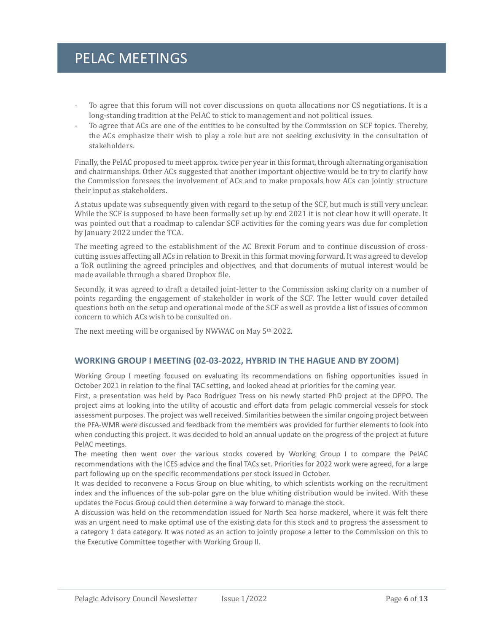- To agree that this forum will not cover discussions on quota allocations nor CS negotiations. It is a long-standing tradition at the PelAC to stick to management and not political issues.
- To agree that ACs are one of the entities to be consulted by the Commission on SCF topics. Thereby, the ACs emphasize their wish to play a role but are not seeking exclusivity in the consultation of stakeholders.

Finally, the PelAC proposed to meet approx. twice per year in this format, through alternating organisation and chairmanships. Other ACs suggested that another important objective would be to try to clarify how the Commission foresees the involvement of ACs and to make proposals how ACs can jointly structure their input as stakeholders.

A status update was subsequently given with regard to the setup of the SCF, but much is still very unclear. While the SCF is supposed to have been formally set up by end 2021 it is not clear how it will operate. It was pointed out that a roadmap to calendar SCF activities for the coming years was due for completion by January 2022 under the TCA.

The meeting agreed to the establishment of the AC Brexit Forum and to continue discussion of crosscutting issues affecting all ACs in relation to Brexit in this format moving forward. It was agreed to develop a ToR outlining the agreed principles and objectives, and that documents of mutual interest would be made available through a shared Dropbox file.

Secondly, it was agreed to draft a detailed joint-letter to the Commission asking clarity on a number of points regarding the engagement of stakeholder in work of the SCF. The letter would cover detailed questions both on the setup and operational mode of the SCF as well as provide a list of issues of common concern to which ACs wish to be consulted on.

The next meeting will be organised by NWWAC on May 5<sup>th</sup> 2022.

### **WORKING GROUP I MEETING (02-03-2022, HYBRID IN THE HAGUE AND BY ZOOM)**

Working Group I meeting focused on evaluating its recommendations on fishing opportunities issued in October 2021 in relation to the final TAC setting, and looked ahead at priorities for the coming year.

First, a presentation was held by Paco Rodriguez Tress on his newly started PhD project at the DPPO. The project aims at looking into the utility of acoustic and effort data from pelagic commercial vessels for stock assessment purposes. The project was well received. Similarities between the similar ongoing project between the PFA-WMR were discussed and feedback from the members was provided for further elements to look into when conducting this project. It was decided to hold an annual update on the progress of the project at future PelAC meetings.

The meeting then went over the various stocks covered by Working Group I to compare the PelAC recommendations with the ICES advice and the final TACs set. Priorities for 2022 work were agreed, for a large part following up on the specific recommendations per stock issued in October.

It was decided to reconvene a Focus Group on blue whiting, to which scientists working on the recruitment index and the influences of the sub-polar gyre on the blue whiting distribution would be invited. With these updates the Focus Group could then determine a way forward to manage the stock.

A discussion was held on the recommendation issued for North Sea horse mackerel, where it was felt there was an urgent need to make optimal use of the existing data for this stock and to progress the assessment to a category 1 data category. It was noted as an action to jointly propose a letter to the Commission on this to the Executive Committee together with Working Group II.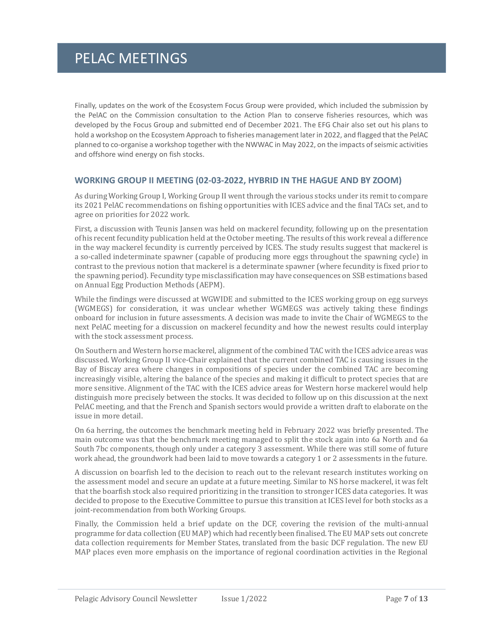Finally, updates on the work of the Ecosystem Focus Group were provided, which included the submission by the PelAC on the Commission consultation to the Action Plan to conserve fisheries resources, which was developed by the Focus Group and submitted end of December 2021. The EFG Chair also set out his plans to hold a workshop on the Ecosystem Approach to fisheries management later in 2022, and flagged that the PelAC planned to co-organise a workshop together with the NWWAC in May 2022, on the impacts of seismic activities and offshore wind energy on fish stocks.

### **WORKING GROUP II MEETING (02-03-2022, HYBRID IN THE HAGUE AND BY ZOOM)**

As during Working Group I, Working Group II went through the various stocks under its remit to compare its 2021 PelAC recommendations on fishing opportunities with ICES advice and the final TACs set, and to agree on priorities for 2022 work.

First, a discussion with Teunis Jansen was held on mackerel fecundity, following up on the presentation of his recent fecundity publication held at the October meeting. The results of this work reveal a difference in the way mackerel fecundity is currently perceived by ICES. The study results suggest that mackerel is a so-called indeterminate spawner (capable of producing more eggs throughout the spawning cycle) in contrast to the previous notion that mackerel is a determinate spawner (where fecundity is fixed prior to the spawning period). Fecundity type misclassification may have consequences on SSB estimations based on Annual Egg Production Methods (AEPM).

While the findings were discussed at WGWIDE and submitted to the ICES working group on egg surveys (WGMEGS) for consideration, it was unclear whether WGMEGS was actively taking these findings onboard for inclusion in future assessments. A decision was made to invite the Chair of WGMEGS to the next PelAC meeting for a discussion on mackerel fecundity and how the newest results could interplay with the stock assessment process.

On Southern and Western horse mackerel, alignment of the combined TAC with the ICES advice areas was discussed. Working Group II vice-Chair explained that the current combined TAC is causing issues in the Bay of Biscay area where changes in compositions of species under the combined TAC are becoming increasingly visible, altering the balance of the species and making it difficult to protect species that are more sensitive. Alignment of the TAC with the ICES advice areas for Western horse mackerel would help distinguish more precisely between the stocks. It was decided to follow up on this discussion at the next PelAC meeting, and that the French and Spanish sectors would provide a written draft to elaborate on the issue in more detail.

On 6a herring, the outcomes the benchmark meeting held in February 2022 was briefly presented. The main outcome was that the benchmark meeting managed to split the stock again into 6a North and 6a South 7bc components, though only under a category 3 assessment. While there was still some of future work ahead, the groundwork had been laid to move towards a category 1 or 2 assessments in the future.

A discussion on boarfish led to the decision to reach out to the relevant research institutes working on the assessment model and secure an update at a future meeting. Similar to NS horse mackerel, it was felt that the boarfish stock also required prioritizing in the transition to stronger ICES data categories. It was decided to propose to the Executive Committee to pursue this transition at ICES level for both stocks as a joint-recommendation from both Working Groups.

Finally, the Commission held a brief update on the DCF, covering the revision of the multi-annual programme for data collection (EU MAP) which had recently been finalised. The EU MAP sets out concrete data collection requirements for Member States, translated from the basic DCF regulation. The new EU MAP places even more emphasis on the importance of regional coordination activities in the Regional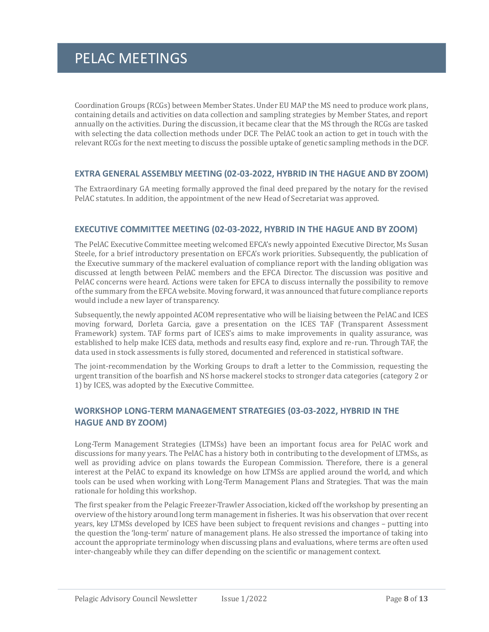Coordination Groups (RCGs) between Member States. Under EU MAP the MS need to produce work plans, containing details and activities on data collection and sampling strategies by Member States, and report annually on the activities. During the discussion, it became clear that the MS through the RCGs are tasked with selecting the data collection methods under DCF. The PelAC took an action to get in touch with the relevant RCGs for the next meeting to discuss the possible uptake of genetic sampling methods in the DCF.

### **EXTRA GENERAL ASSEMBLY MEETING (02-03-2022, HYBRID IN THE HAGUE AND BY ZOOM)**

The Extraordinary GA meeting formally approved the final deed prepared by the notary for the revised PelAC statutes. In addition, the appointment of the new Head of Secretariat was approved.

#### **EXECUTIVE COMMITTEE MEETING (02-03-2022, HYBRID IN THE HAGUE AND BY ZOOM)**

The PelAC Executive Committee meeting welcomed EFCA's newly appointed Executive Director, Ms Susan Steele, for a brief introductory presentation on EFCA's work priorities. Subsequently, the publication of the Executive summary of the mackerel evaluation of compliance report with the landing obligation was discussed at length between PelAC members and the EFCA Director. The discussion was positive and PelAC concerns were heard. Actions were taken for EFCA to discuss internally the possibility to remove of the summary from the EFCA website. Moving forward, it was announced that future compliance reports would include a new layer of transparency.

Subsequently, the newly appointed ACOM representative who will be liaising between the PelAC and ICES moving forward, Dorleta Garcia, gave a presentation on the ICES TAF (Transparent Assessment Framework) system. TAF forms part of ICES's aims to make improvements in quality assurance, was established to help make ICES data, methods and results easy find, explore and re-run. Through TAF, the data used in stock assessments is fully stored, documented and referenced in statistical software.

The joint-recommendation by the Working Groups to draft a letter to the Commission, requesting the urgent transition of the boarfish and NS horse mackerel stocks to stronger data categories (category 2 or 1) by ICES, was adopted by the Executive Committee.

### **WORKSHOP LONG-TERM MANAGEMENT STRATEGIES (03-03-2022, HYBRID IN THE HAGUE AND BY ZOOM)**

Long-Term Management Strategies (LTMSs) have been an important focus area for PelAC work and discussions for many years. The PelAC has a history both in contributing to the development of LTMSs, as well as providing advice on plans towards the European Commission. Therefore, there is a general interest at the PelAC to expand its knowledge on how LTMSs are applied around the world, and which tools can be used when working with Long-Term Management Plans and Strategies. That was the main rationale for holding this workshop.

The first speaker from the Pelagic Freezer-Trawler Association, kicked off the workshop by presenting an overview of the history around long term management in fisheries. It was his observation that over recent years, key LTMSs developed by ICES have been subject to frequent revisions and changes – putting into the question the 'long-term' nature of management plans. He also stressed the importance of taking into account the appropriate terminology when discussing plans and evaluations, where terms are often used inter-changeably while they can differ depending on the scientific or management context.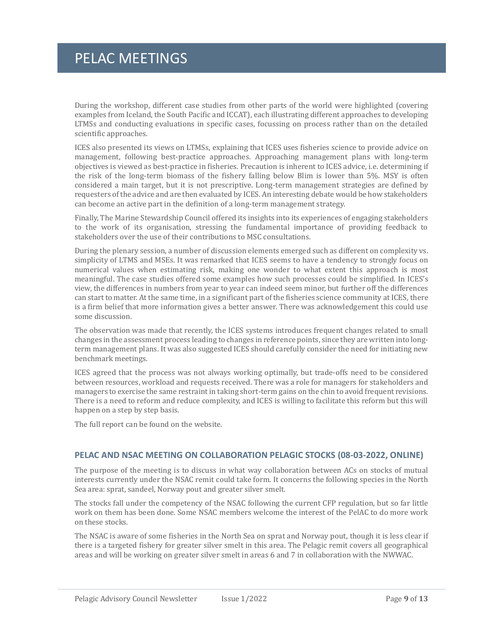During the workshop, different case studies from other parts of the world were highlighted (covering examples from Iceland, the South Pacific and ICCAT), each illustrating different approaches to developing LTMSs and conducting evaluations in specific cases, focussing on process rather than on the detailed scientific approaches.

ICES also presented its views on LTMSs, explaining that ICES uses fisheries science to provide advice on management, following best-practice approaches. Approaching management plans with long-term objectives is viewed as best-practice in fisheries. Precaution is inherent to ICES advice, i.e. determining if the risk of the long-term biomass of the fishery falling below Blim is lower than 5%. MSY is often considered a main target, but it is not prescriptive. Long-term management strategies are defined by requesters of the advice and are then evaluated by ICES. An interesting debate would be how stakeholders can become an active part in the definition of a long-term management strategy.

Finally, The Marine Stewardship Council offered its insights into its experiences of engaging stakeholders to the work of its organisation, stressing the fundamental importance of providing feedback to stakeholders over the use of their contributions to MSC consultations.

During the plenary session, a number of discussion elements emerged such as different on complexity vs. simplicity of LTMS and MSEs. It was remarked that ICES seems to have a tendency to strongly focus on numerical values when estimating risk, making one wonder to what extent this approach is most meaningful. The case studies offered some examples how such processes could be simplified. In ICES's view, the differences in numbers from year to year can indeed seem minor, but further off the differences can start to matter. At the same time, in a significant part of the fisheries science community at ICES, there is a firm belief that more information gives a better answer. There was acknowledgement this could use some discussion.

The observation was made that recently, the ICES systems introduces frequent changes related to small changes in the assessment process leading to changes in reference points, since they are written into longterm management plans. It was also suggested ICES should carefully consider the need for initiating new benchmark meetings.

ICES agreed that the process was not always working optimally, but trade-offs need to be considered between resources, workload and requests received. There was a role for managers for stakeholders and managers to exercise the same restraint in taking short-term gains on the chin to avoid frequent revisions. There is a need to reform and reduce complexity, and ICES is willing to facilitate this reform but this will happen on a step by step basis.

The full report can be found on the website.

### **PELAC AND NSAC MEETING ON COLLABORATION PELAGIC STOCKS (08-03-2022, ONLINE)**

The purpose of the meeting is to discuss in what way collaboration between ACs on stocks of mutual interests currently under the NSAC remit could take form. It concerns the following species in the North Sea area: sprat, sandeel, Norway pout and greater silver smelt.

The stocks fall under the competency of the NSAC following the current CFP regulation, but so far little work on them has been done. Some NSAC members welcome the interest of the PelAC to do more work on these stocks.

The NSAC is aware of some fisheries in the North Sea on sprat and Norway pout, though it is less clear if there is a targeted fishery for greater silver smelt in this area. The Pelagic remit covers all geographical areas and will be working on greater silver smelt in areas 6 and 7 in collaboration with the NWWAC.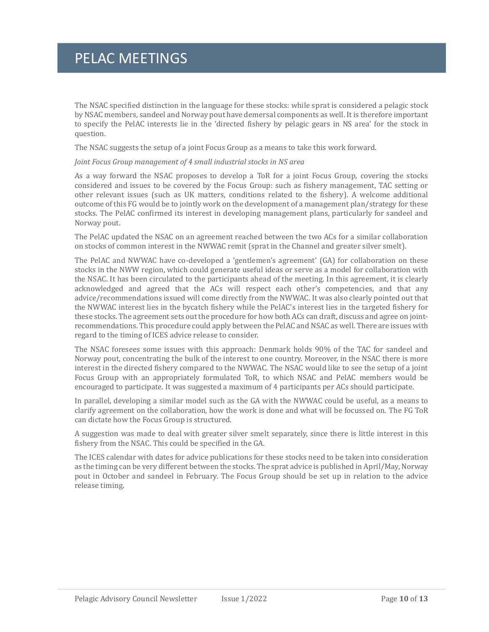The NSAC specified distinction in the language for these stocks: while sprat is considered a pelagic stock by NSAC members, sandeel and Norway pout have demersal components as well. It is therefore important to specify the PelAC interests lie in the 'directed fishery by pelagic gears in NS area' for the stock in question.

The NSAC suggests the setup of a joint Focus Group as a means to take this work forward.

#### *Joint Focus Group management of 4 small industrial stocks in NS area*

As a way forward the NSAC proposes to develop a ToR for a joint Focus Group, covering the stocks considered and issues to be covered by the Focus Group: such as fishery management, TAC setting or other relevant issues (such as UK matters, conditions related to the fishery). A welcome additional outcome of this FG would be to jointly work on the development of a management plan/strategy for these stocks. The PelAC confirmed its interest in developing management plans, particularly for sandeel and Norway pout.

The PelAC updated the NSAC on an agreement reached between the two ACs for a similar collaboration on stocks of common interest in the NWWAC remit (sprat in the Channel and greater silver smelt).

The PelAC and NWWAC have co-developed a 'gentlemen's agreement' (GA) for collaboration on these stocks in the NWW region, which could generate useful ideas or serve as a model for collaboration with the NSAC. It has been circulated to the participants ahead of the meeting. In this agreement, it is clearly acknowledged and agreed that the ACs will respect each other's competencies, and that any advice/recommendations issued will come directly from the NWWAC. It was also clearly pointed out that the NWWAC interest lies in the bycatch fishery while the PelAC's interest lies in the targeted fishery for these stocks. The agreement sets out the procedure for how both ACs can draft, discuss and agree on jointrecommendations. This procedure could apply between the PelAC and NSAC as well. There are issues with regard to the timing of ICES advice release to consider.

The NSAC foresees some issues with this approach: Denmark holds 90% of the TAC for sandeel and Norway pout, concentrating the bulk of the interest to one country. Moreover, in the NSAC there is more interest in the directed fishery compared to the NWWAC. The NSAC would like to see the setup of a joint Focus Group with an appropriately formulated ToR, to which NSAC and PelAC members would be encouraged to participate. It was suggested a maximum of 4 participants per ACs should participate.

In parallel, developing a similar model such as the GA with the NWWAC could be useful, as a means to clarify agreement on the collaboration, how the work is done and what will be focussed on. The FG ToR can dictate how the Focus Group is structured.

A suggestion was made to deal with greater silver smelt separately, since there is little interest in this fishery from the NSAC. This could be specified in the GA.

The ICES calendar with dates for advice publications for these stocks need to be taken into consideration as the timing can be very different between the stocks. The sprat advice is published in April/May, Norway pout in October and sandeel in February. The Focus Group should be set up in relation to the advice release timing.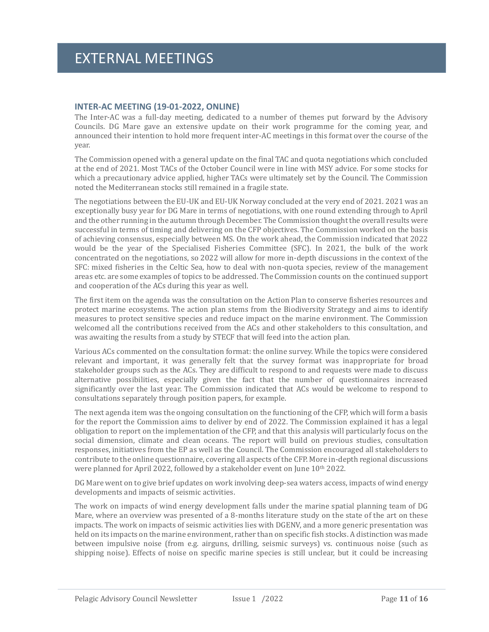### **INTER-AC MEETING (19-01-2022, ONLINE)**

The Inter-AC was a full-day meeting, dedicated to a number of themes put forward by the Advisory Councils. DG Mare gave an extensive update on their work programme for the coming year, and announced their intention to hold more frequent inter-AC meetings in this format over the course of the year.

The Commission opened with a general update on the final TAC and quota negotiations which concluded at the end of 2021. Most TACs of the October Council were in line with MSY advice. For some stocks for which a precautionary advice applied, higher TACs were ultimately set by the Council. The Commission noted the Mediterranean stocks still remained in a fragile state.

The negotiations between the EU-UK and EU-UK Norway concluded at the very end of 2021. 2021 was an exceptionally busy year for DG Mare in terms of negotiations, with one round extending through to April and the other running in the autumn through December. The Commission thought the overall results were successful in terms of timing and delivering on the CFP objectives. The Commission worked on the basis of achieving consensus, especially between MS. On the work ahead, the Commission indicated that 2022 would be the year of the Specialised Fisheries Committee (SFC). In 2021, the bulk of the work concentrated on the negotiations, so 2022 will allow for more in-depth discussions in the context of the SFC: mixed fisheries in the Celtic Sea, how to deal with non-quota species, review of the management areas etc. are some examples of topics to be addressed. The Commission counts on the continued support and cooperation of the ACs during this year as well.

The first item on the agenda was the consultation on the Action Plan to conserve fisheries resources and protect marine ecosystems. The action plan stems from the Biodiversity Strategy and aims to identify measures to protect sensitive species and reduce impact on the marine environment. The Commission welcomed all the contributions received from the ACs and other stakeholders to this consultation, and was awaiting the results from a study by STECF that will feed into the action plan.

Various ACs commented on the consultation format: the online survey. While the topics were considered relevant and important, it was generally felt that the survey format was inappropriate for broad stakeholder groups such as the ACs. They are difficult to respond to and requests were made to discuss alternative possibilities, especially given the fact that the number of questionnaires increased significantly over the last year. The Commission indicated that ACs would be welcome to respond to consultations separately through position papers, for example.

The next agenda item was the ongoing consultation on the functioning of the CFP, which will form a basis for the report the Commission aims to deliver by end of 2022. The Commission explained it has a legal obligation to report on the implementation of the CFP, and that this analysis will particularly focus on the social dimension, climate and clean oceans. The report will build on previous studies, consultation responses, initiatives from the EP as well as the Council. The Commission encouraged all stakeholders to contribute to the online questionnaire, covering all aspects of the CFP. More in-depth regional discussions were planned for April 2022, followed by a stakeholder event on June 10<sup>th</sup> 2022.

DG Mare went on to give brief updates on work involving deep-sea waters access, impacts of wind energy developments and impacts of seismic activities.

The work on impacts of wind energy development falls under the marine spatial planning team of DG Mare, where an overview was presented of a 8-months literature study on the state of the art on these impacts. The work on impacts of seismic activities lies with DGENV, and a more generic presentation was held on its impacts on the marine environment, rather than on specific fish stocks. A distinction was made between impulsive noise (from e.g. airguns, drilling, seismic surveys) vs. continuous noise (such as shipping noise). Effects of noise on specific marine species is still unclear, but it could be increasing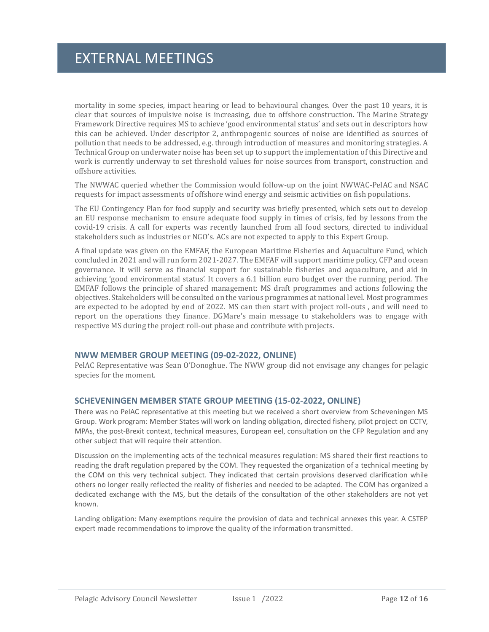### EXTERNAL MEETINGS

mortality in some species, impact hearing or lead to behavioural changes. Over the past 10 years, it is clear that sources of impulsive noise is increasing, due to offshore construction. The Marine Strategy Framework Directive requires MS to achieve 'good environmental status' and sets out in descriptors how this can be achieved. Under descriptor 2, anthropogenic sources of noise are identified as sources of pollution that needs to be addressed, e.g. through introduction of measures and monitoring strategies. A Technical Group on underwater noise has been set up to support the implementation of this Directive and work is currently underway to set threshold values for noise sources from transport, construction and offshore activities.

The NWWAC queried whether the Commission would follow-up on the joint NWWAC-PelAC and NSAC requests for impact assessments of offshore wind energy and seismic activities on fish populations.

The EU Contingency Plan for food supply and security was briefly presented, which sets out to develop an EU response mechanism to ensure adequate food supply in times of crisis, fed by lessons from the covid-19 crisis. A call for experts was recently launched from all food sectors, directed to individual stakeholders such as industries or NGO's. ACs are not expected to apply to this Expert Group.

A final update was given on the EMFAF, the European Maritime Fisheries and Aquaculture Fund, which concluded in 2021 and will run form 2021-2027. The EMFAF will support maritime policy, CFP and ocean governance. It will serve as financial support for sustainable fisheries and aquaculture, and aid in achieving 'good environmental status'. It covers a 6.1 billion euro budget over the running period. The EMFAF follows the principle of shared management: MS draft programmes and actions following the objectives. Stakeholders will be consulted on the various programmes at national level. Most programmes are expected to be adopted by end of 2022. MS can then start with project roll-outs , and will need to report on the operations they finance. DGMare's main message to stakeholders was to engage with respective MS during the project roll-out phase and contribute with projects.

#### **NWW MEMBER GROUP MEETING (09-02-2022, ONLINE)**

PelAC Representative was Sean O'Donoghue. The NWW group did not envisage any changes for pelagic species for the moment.

#### **SCHEVENINGEN MEMBER STATE GROUP MEETING (15-02-2022, ONLINE)**

There was no PelAC representative at this meeting but we received a short overview from Scheveningen MS Group. Work program: Member States will work on landing obligation, directed fishery, pilot project on CCTV, MPAs, the post-Brexit context, technical measures, European eel, consultation on the CFP Regulation and any other subject that will require their attention.

Discussion on the implementing acts of the technical measures regulation: MS shared their first reactions to reading the draft regulation prepared by the COM. They requested the organization of a technical meeting by the COM on this very technical subject. They indicated that certain provisions deserved clarification while others no longer really reflected the reality of fisheries and needed to be adapted. The COM has organized a dedicated exchange with the MS, but the details of the consultation of the other stakeholders are not yet known.

Landing obligation: Many exemptions require the provision of data and technical annexes this year. A CSTEP expert made recommendations to improve the quality of the information transmitted.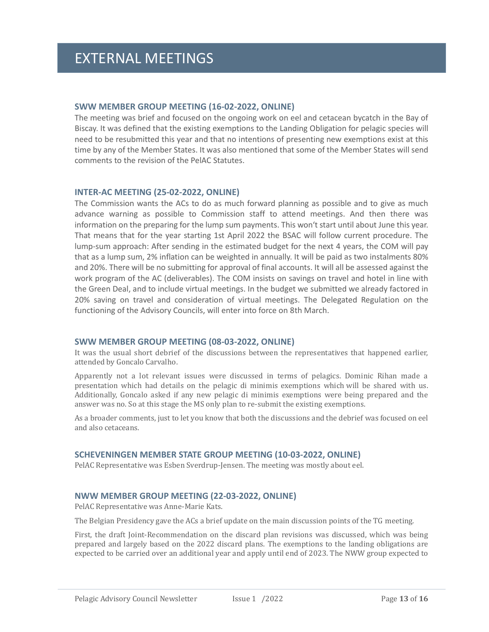### **SWW MEMBER GROUP MEETING (16-02-2022, ONLINE)**

The meeting was brief and focused on the ongoing work on eel and cetacean bycatch in the Bay of Biscay. It was defined that the existing exemptions to the Landing Obligation for pelagic species will need to be resubmitted this year and that no intentions of presenting new exemptions exist at this time by any of the Member States. It was also mentioned that some of the Member States will send comments to the revision of the PelAC Statutes.

### **INTER-AC MEETING (25-02-2022, ONLINE)**

The Commission wants the ACs to do as much forward planning as possible and to give as much advance warning as possible to Commission staff to attend meetings. And then there was information on the preparing for the lump sum payments. This won't start until about June this year. That means that for the year starting 1st April 2022 the BSAC will follow current procedure. The lump-sum approach: After sending in the estimated budget for the next 4 years, the COM will pay that as a lump sum, 2% inflation can be weighted in annually. It will be paid as two instalments 80% and 20%. There will be no submitting for approval of final accounts. It will all be assessed against the work program of the AC (deliverables). The COM insists on savings on travel and hotel in line with the Green Deal, and to include virtual meetings. In the budget we submitted we already factored in 20% saving on travel and consideration of virtual meetings. The Delegated Regulation on the functioning of the Advisory Councils, will enter into force on 8th March.

### **SWW MEMBER GROUP MEETING (08-03-2022, ONLINE)**

It was the usual short debrief of the discussions between the representatives that happened earlier, attended by Goncalo Carvalho.

Apparently not a lot relevant issues were discussed in terms of pelagics. Dominic Rihan made a presentation which had details on the pelagic di minimis exemptions which will be shared with us. Additionally, Goncalo asked if any new pelagic di minimis exemptions were being prepared and the answer was no. So at this stage the MS only plan to re-submit the existing exemptions.

As a broader comments, just to let you know that both the discussions and the debrief was focused on eel and also cetaceans.

### **SCHEVENINGEN MEMBER STATE GROUP MEETING (10-03-2022, ONLINE)**

PelAC Representative was Esben Sverdrup-Jensen. The meeting was mostly about eel.

### **NWW MEMBER GROUP MEETING (22-03-2022, ONLINE)**

PelAC Representative was Anne-Marie Kats.

The Belgian Presidency gave the ACs a brief update on the main discussion points of the TG meeting.

First, the draft Joint-Recommendation on the discard plan revisions was discussed, which was being prepared and largely based on the 2022 discard plans. The exemptions to the landing obligations are expected to be carried over an additional year and apply until end of 2023. The NWW group expected to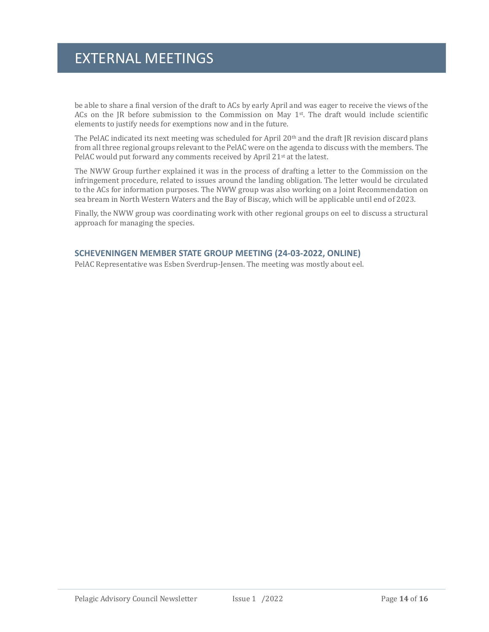### EXTERNAL MEETINGS

be able to share a final version of the draft to ACs by early April and was eager to receive the views of the ACs on the JR before submission to the Commission on May 1st . The draft would include scientific elements to justify needs for exemptions now and in the future.

The PelAC indicated its next meeting was scheduled for April 20<sup>th</sup> and the draft JR revision discard plans from all three regional groups relevant to the PelAC were on the agenda to discuss with the members. The PelAC would put forward any comments received by April 21st at the latest.

The NWW Group further explained it was in the process of drafting a letter to the Commission on the infringement procedure, related to issues around the landing obligation. The letter would be circulated to the ACs for information purposes. The NWW group was also working on a Joint Recommendation on sea bream in North Western Waters and the Bay of Biscay, which will be applicable until end of 2023.

Finally, the NWW group was coordinating work with other regional groups on eel to discuss a structural approach for managing the species.

### **SCHEVENINGEN MEMBER STATE GROUP MEETING (24-03-2022, ONLINE)**

PelAC Representative was Esben Sverdrup-Jensen. The meeting was mostly about eel.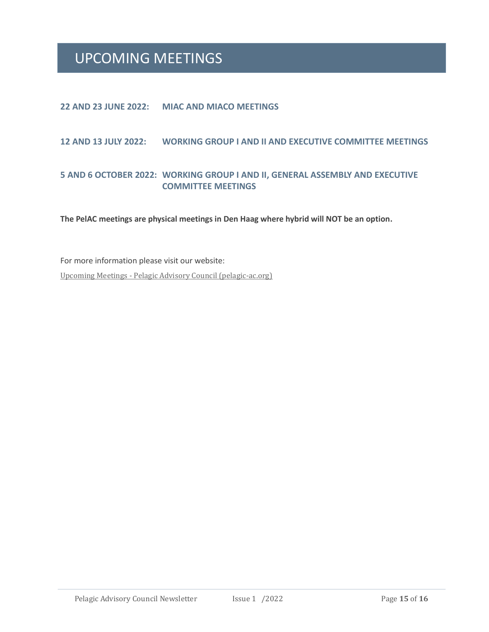### UPCOMING MEETINGS

### **22 AND 23 JUNE 2022: MIAC AND MIACO MEETINGS**

### **12 AND 13 JULY 2022: WORKING GROUP I AND II AND EXECUTIVE COMMITTEE MEETINGS**

### **5 AND 6 OCTOBER 2022: WORKING GROUP I AND II, GENERAL ASSEMBLY AND EXECUTIVE COMMITTEE MEETINGS**

**The PelAC meetings are physical meetings in Den Haag where hybrid will NOT be an option.**

For more information please visit our website: Upcoming Meetings - [Pelagic Advisory Council \(pelagic-ac.org\)](https://www.pelagic-ac.org/upcoming-meetings/)